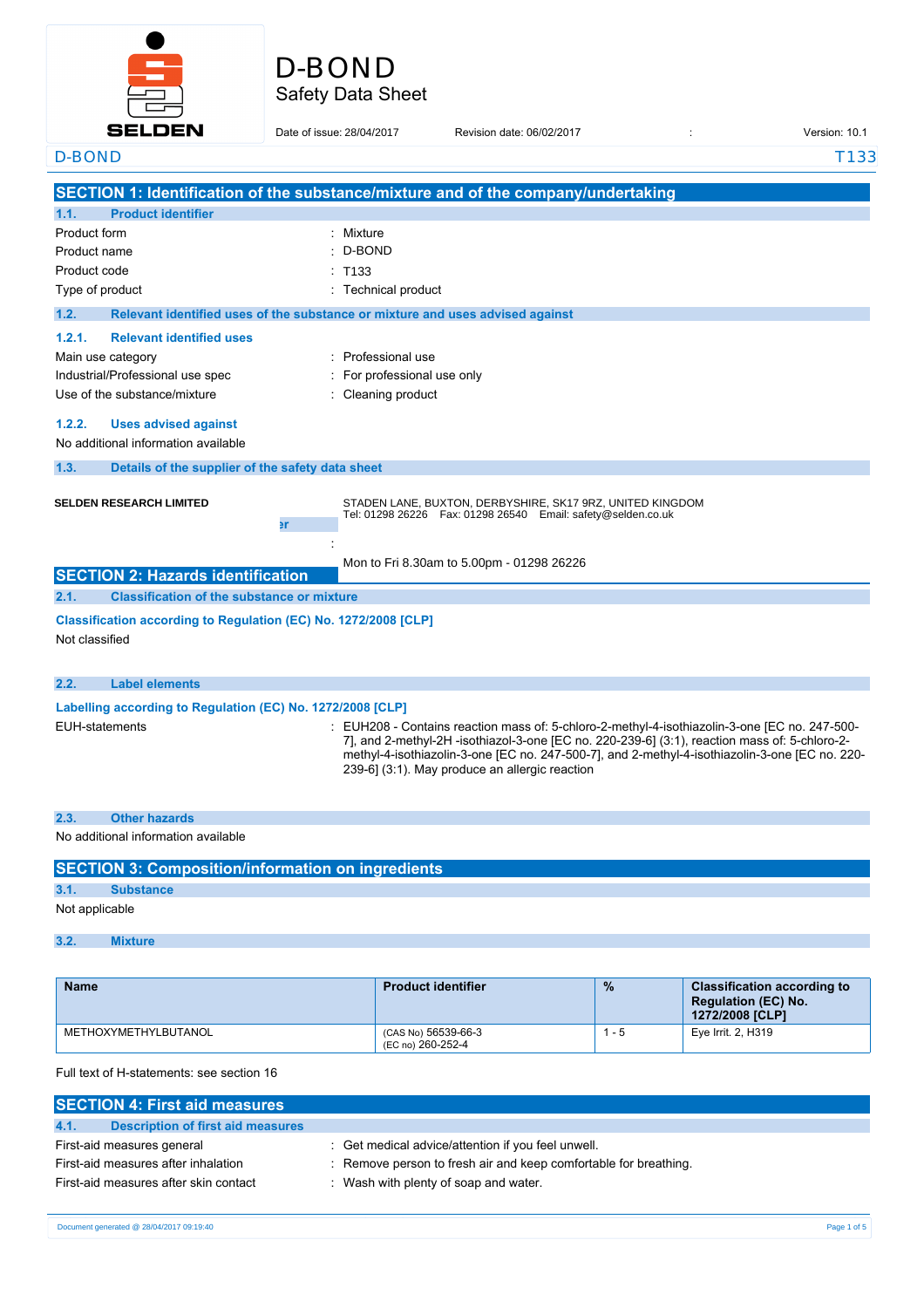

### Safety Data Sheet D-BOND

#### **SELDEN** Date of issue: 28/04/2017 Revision date: 06/02/2017 Version: 10.1 D-BOND T133 **SECTION 1: Identification of the substance/mixture and of the company/undertaking 1.1. Product identifier** Product form : Nixture : Mixture D-BOND Product name : Product code :  $: T133$ Type of product **interval and the Community Community** Technical product **1.2. Relevant identified uses of the substance or mixture and uses advised against 1.2.1. Relevant identified uses** Main use category **interest and the COV** method of the Professional use Industrial/Professional use spec : For professional use only Use of the substance/mixture in the substance/mixture in the substance of the substance of the substance of the substance/mixture in the substance/mixture in the substance/mixture in the substance/mixture in the substance/ **1.2.2. Uses advised against** No additional information available **1.3. Details of the supplier of the safety data sheet SELDEN RESEARCH LIMITED** STADEN LANE, BUXTON, DERBYSHIRE, SK17 9RZ, UNITED KINGDOM Tel: 01298 26226 Fax: 01298 26540 Email: safety@selden.co.uk **1.4. Emergency telephone number** : Mon to Fri 8.30am to 5.00pm - 01298 26226 **SECTION 2: Hazards identification 2.1. Classification of the substance or mixture Classification according to Regulation (EC) No. 1272/2008 [CLP]** Not classified **2.2. Label elements Labelling according to Regulation** (EC) **No. 1272/2008** [CLP] EUH-statements : EUH208 - Contains reaction mass of: 5-chloro-2-methyl-4-isothiazolin-3-one [EC no. 247-500- 7], and 2-methyl-2H -isothiazol-3-one [EC no. 220-239-6] (3:1), reaction mass of: 5-chloro-2 methyl-4-isothiazolin-3-one [EC no. 247-500-7], and 2-methyl-4-isothiazolin-3-one [EC no. 220- 239-6] (3:1). May produce an allergic reaction **2.3. Other hazards** No additional information available

| <b>SECTION 3: Composition/information on ingredients</b> |                  |  |
|----------------------------------------------------------|------------------|--|
| 3.1.                                                     | <b>Substance</b> |  |
| Not applicable                                           |                  |  |
| 3.2.                                                     | <b>Mixture</b>   |  |

| <b>Name</b>          | <b>Product identifier</b>                | $\frac{9}{6}$ | <b>Classification according to</b><br><b>Regulation (EC) No.</b><br>1272/2008 [CLP] |
|----------------------|------------------------------------------|---------------|-------------------------------------------------------------------------------------|
| METHOXYMETHYLBUTANOL | (CAS No) 56539-66-3<br>(EC no) 260-252-4 | 1 - 5         | Eye Irrit. 2, H319                                                                  |

Full text of H-statements: see section 16

| <b>SECTION 4: First aid measures</b>      |                                                                  |
|-------------------------------------------|------------------------------------------------------------------|
| Description of first aid measures<br>4.1. |                                                                  |
| First-aid measures general                | : Get medical advice/attention if you feel unwell.               |
| First-aid measures after inhalation       | : Remove person to fresh air and keep comfortable for breathing. |
| First-aid measures after skin contact     | : Wash with plenty of soap and water.                            |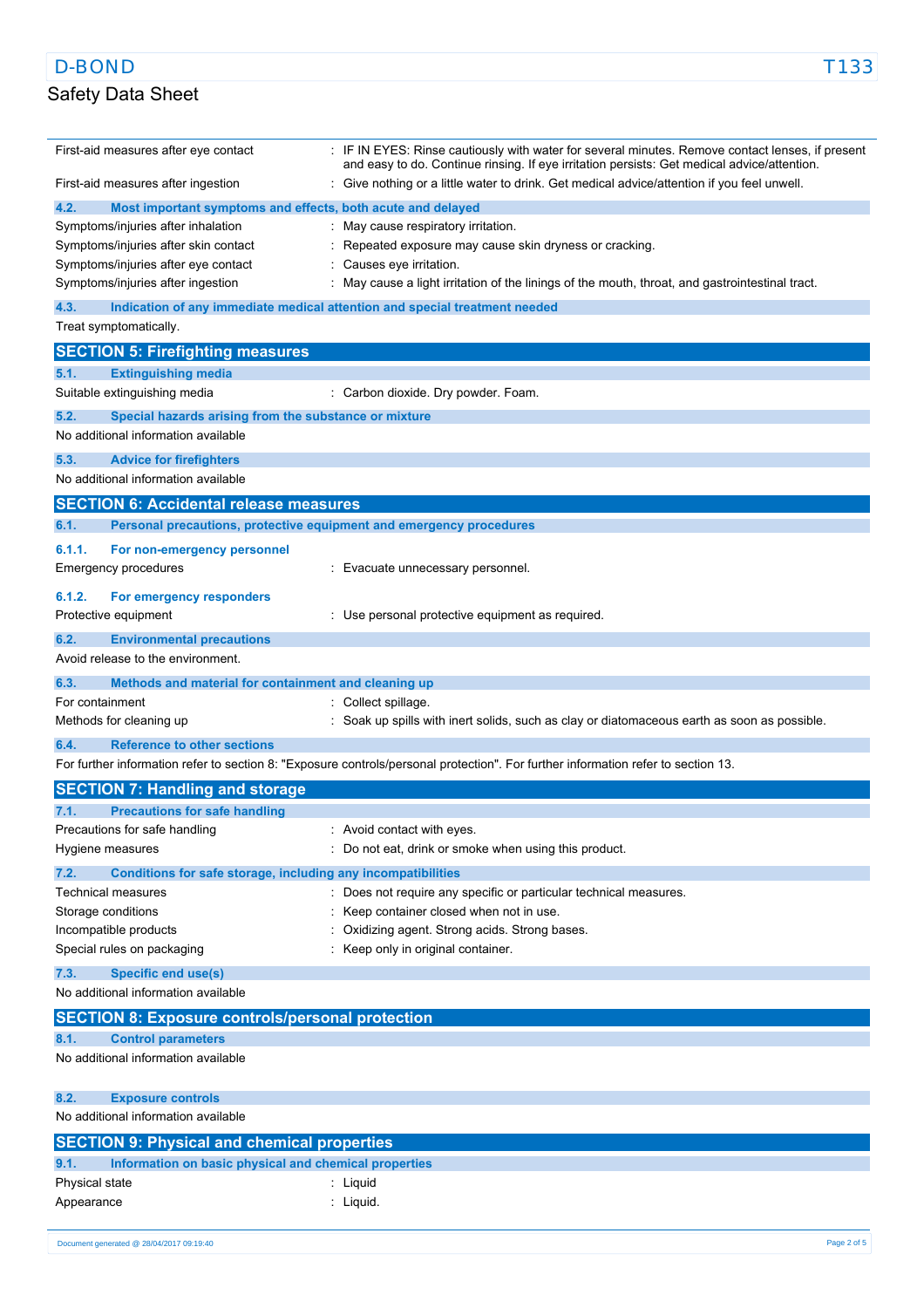L.

# Safety Data Sheet

| First-aid measures after eye contact                                        | : IF IN EYES: Rinse cautiously with water for several minutes. Remove contact lenses, if present<br>and easy to do. Continue rinsing. If eye irritation persists: Get medical advice/attention. |
|-----------------------------------------------------------------------------|-------------------------------------------------------------------------------------------------------------------------------------------------------------------------------------------------|
| First-aid measures after ingestion                                          | : Give nothing or a little water to drink. Get medical advice/attention if you feel unwell.                                                                                                     |
| 4.2.<br>Most important symptoms and effects, both acute and delayed         |                                                                                                                                                                                                 |
| Symptoms/injuries after inhalation                                          | : May cause respiratory irritation.                                                                                                                                                             |
| Symptoms/injuries after skin contact                                        | Repeated exposure may cause skin dryness or cracking.                                                                                                                                           |
| Symptoms/injuries after eye contact                                         | Causes eye irritation.                                                                                                                                                                          |
| Symptoms/injuries after ingestion                                           | May cause a light irritation of the linings of the mouth, throat, and gastrointestinal tract.                                                                                                   |
| 4.3.                                                                        | Indication of any immediate medical attention and special treatment needed                                                                                                                      |
| Treat symptomatically.                                                      |                                                                                                                                                                                                 |
| <b>SECTION 5: Firefighting measures</b>                                     |                                                                                                                                                                                                 |
| 5.1.<br><b>Extinguishing media</b>                                          |                                                                                                                                                                                                 |
| Suitable extinguishing media                                                | Carbon dioxide. Dry powder. Foam.                                                                                                                                                               |
| 5.2.<br>Special hazards arising from the substance or mixture               |                                                                                                                                                                                                 |
| No additional information available                                         |                                                                                                                                                                                                 |
| 5.3.<br><b>Advice for firefighters</b>                                      |                                                                                                                                                                                                 |
| No additional information available                                         |                                                                                                                                                                                                 |
| <b>SECTION 6: Accidental release measures</b>                               |                                                                                                                                                                                                 |
| 6.1.<br>Personal precautions, protective equipment and emergency procedures |                                                                                                                                                                                                 |
| 6.1.1.<br>For non-emergency personnel                                       |                                                                                                                                                                                                 |
| <b>Emergency procedures</b>                                                 | Evacuate unnecessary personnel.                                                                                                                                                                 |
|                                                                             |                                                                                                                                                                                                 |
| 6.1.2.<br>For emergency responders                                          |                                                                                                                                                                                                 |
| Protective equipment                                                        | : Use personal protective equipment as required.                                                                                                                                                |
| 6.2.<br><b>Environmental precautions</b>                                    |                                                                                                                                                                                                 |
| Avoid release to the environment.                                           |                                                                                                                                                                                                 |
| Methods and material for containment and cleaning up<br>6.3.                |                                                                                                                                                                                                 |
| For containment                                                             | Collect spillage.                                                                                                                                                                               |
| Methods for cleaning up                                                     | Soak up spills with inert solids, such as clay or diatomaceous earth as soon as possible.                                                                                                       |
| <b>Reference to other sections</b><br>6.4.                                  |                                                                                                                                                                                                 |
|                                                                             | For further information refer to section 8: "Exposure controls/personal protection". For further information refer to section 13.                                                               |
| <b>SECTION 7: Handling and storage</b>                                      |                                                                                                                                                                                                 |
| <b>Precautions for safe handling</b><br>7.1.                                |                                                                                                                                                                                                 |
| Precautions for safe handling                                               | Avoid contact with eyes.                                                                                                                                                                        |
| Hygiene measures                                                            | : Do not eat, drink or smoke when using this product.                                                                                                                                           |
| 7.2.<br>Conditions for safe storage, including any incompatibilities        |                                                                                                                                                                                                 |
| Technical measures                                                          | : Does not require any specific or particular technical measures.                                                                                                                               |
| Storage conditions                                                          | Keep container closed when not in use.                                                                                                                                                          |
| Incompatible products                                                       | Oxidizing agent. Strong acids. Strong bases.                                                                                                                                                    |
| Special rules on packaging                                                  | Keep only in original container.                                                                                                                                                                |
| 7.3.<br>Specific end use(s)                                                 |                                                                                                                                                                                                 |
| No additional information available                                         |                                                                                                                                                                                                 |
| <b>SECTION 8: Exposure controls/personal protection</b>                     |                                                                                                                                                                                                 |
| 8.1.<br><b>Control parameters</b>                                           |                                                                                                                                                                                                 |
| No additional information available                                         |                                                                                                                                                                                                 |
|                                                                             |                                                                                                                                                                                                 |
| 8.2.<br><b>Exposure controls</b>                                            |                                                                                                                                                                                                 |
| No additional information available                                         |                                                                                                                                                                                                 |
| <b>SECTION 9: Physical and chemical properties</b>                          |                                                                                                                                                                                                 |
| Information on basic physical and chemical properties<br>9.1.               |                                                                                                                                                                                                 |
| Physical state                                                              | : Liquid                                                                                                                                                                                        |
| Appearance                                                                  | : Liquid.                                                                                                                                                                                       |
|                                                                             |                                                                                                                                                                                                 |
| Document generated @ 28/04/2017 09:19:40                                    | Page 2 of 5                                                                                                                                                                                     |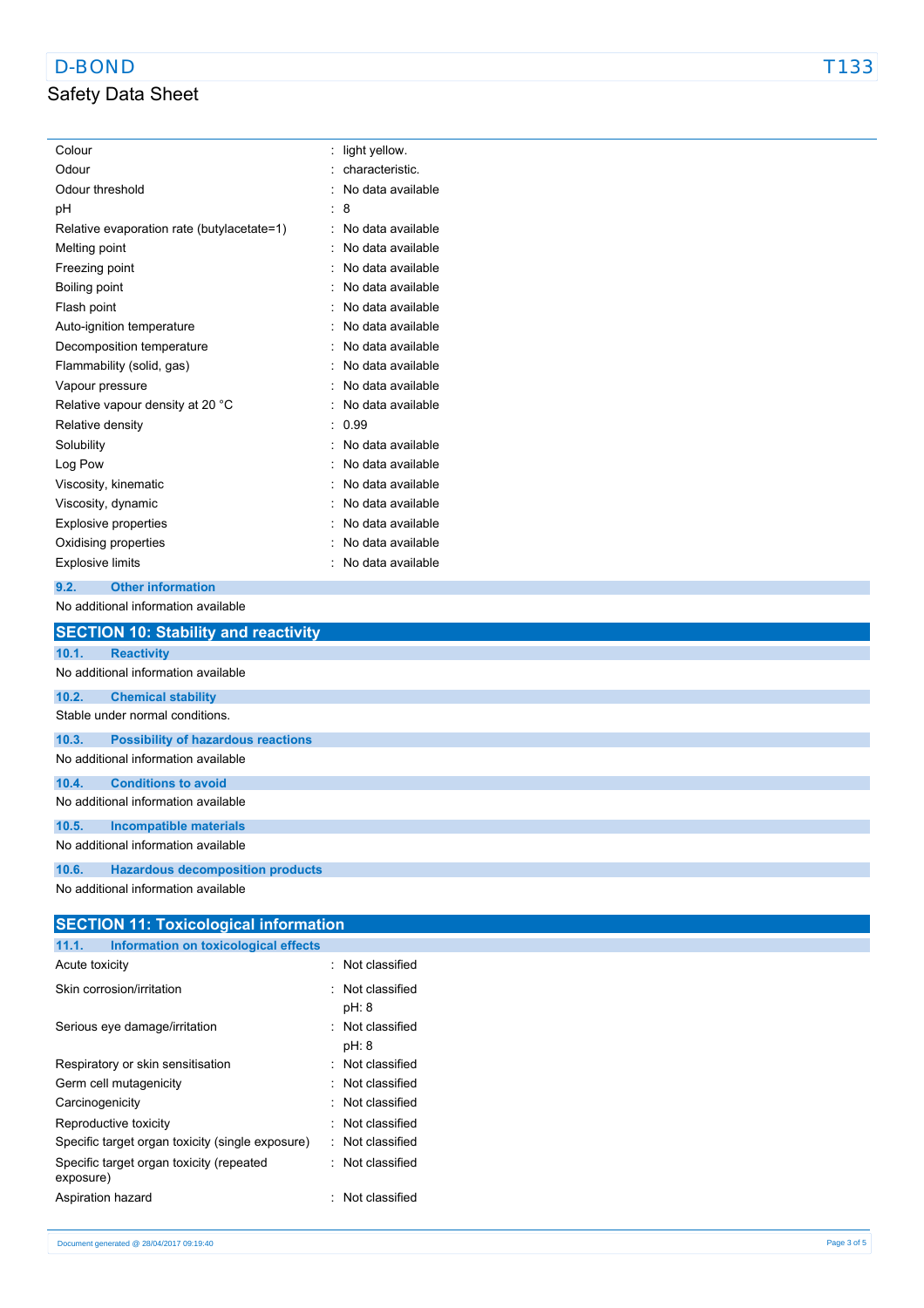# Safety Data Sheet

| Colour                                     | t | light yellow.     |
|--------------------------------------------|---|-------------------|
| Odour                                      |   | characteristic.   |
| Odour threshold                            |   | No data available |
| рH                                         |   | 8                 |
| Relative evaporation rate (butylacetate=1) |   | No data available |
| Melting point                              |   | No data available |
| Freezing point                             |   | No data available |
| Boiling point                              |   | No data available |
| Flash point                                |   | No data available |
| Auto-ignition temperature                  |   | No data available |
| Decomposition temperature                  |   | No data available |
| Flammability (solid, gas)                  |   | No data available |
| Vapour pressure                            |   | No data available |
| Relative vapour density at 20 °C           |   | No data available |
| Relative density                           |   | 0.99              |
| Solubility                                 |   | No data available |
| Log Pow                                    |   | No data available |
| Viscosity, kinematic                       |   | No data available |
| Viscosity, dynamic                         |   | No data available |
| <b>Explosive properties</b>                |   | No data available |
| Oxidising properties                       |   | No data available |
| <b>Explosive limits</b>                    |   | No data available |

#### **9.2. Other information**

No additional information available

|       | <b>SECTION 10: Stability and reactivity</b> |
|-------|---------------------------------------------|
| 10.1. | <b>Reactivity</b>                           |
|       | No additional information available         |
| 10.2. | <b>Chemical stability</b>                   |
|       | Stable under normal conditions.             |
| 10.3. | <b>Possibility of hazardous reactions</b>   |
|       | No additional information available         |
| 10.4. | <b>Conditions to avoid</b>                  |
|       | No additional information available         |
| 10.5. | Incompatible materials                      |
|       | No additional information available         |
| 10.6. | <b>Hazardous decomposition products</b>     |
|       | No additional information available         |

| <b>SECTION 11: Toxicological information</b>          |  |                           |  |
|-------------------------------------------------------|--|---------------------------|--|
| 11.1.<br>Information on toxicological effects         |  |                           |  |
| Acute toxicity                                        |  | Not classified            |  |
| Skin corrosion/irritation                             |  | : Not classified<br>pH: 8 |  |
| Serious eye damage/irritation                         |  | Not classified<br>pH: 8   |  |
| Respiratory or skin sensitisation                     |  | Not classified            |  |
| Germ cell mutagenicity                                |  | Not classified            |  |
| Carcinogenicity                                       |  | · Not classified          |  |
| Reproductive toxicity                                 |  | Not classified            |  |
| Specific target organ toxicity (single exposure)      |  | : Not classified          |  |
| Specific target organ toxicity (repeated<br>exposure) |  | Not classified            |  |
| Aspiration hazard                                     |  | Not classified            |  |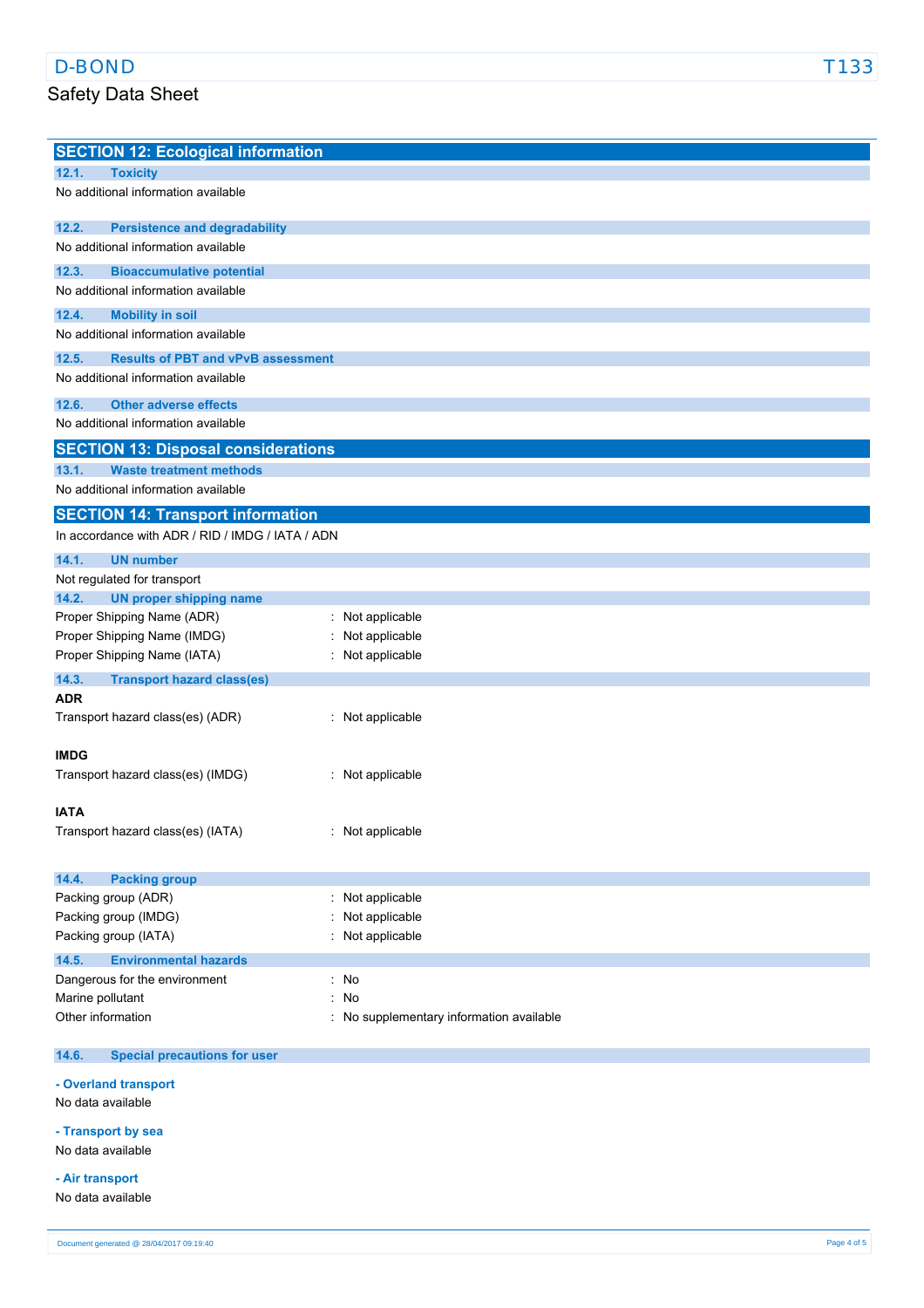## Safety Data Sheet

| <b>SECTION 12: Ecological information</b>          |                                        |
|----------------------------------------------------|----------------------------------------|
| 12.1.<br><b>Toxicity</b>                           |                                        |
| No additional information available                |                                        |
|                                                    |                                        |
| 12.2.<br><b>Persistence and degradability</b>      |                                        |
| No additional information available                |                                        |
| 12.3.<br><b>Bioaccumulative potential</b>          |                                        |
| No additional information available                |                                        |
| 12.4.<br><b>Mobility in soil</b>                   |                                        |
| No additional information available                |                                        |
| 12.5.<br><b>Results of PBT and vPvB assessment</b> |                                        |
| No additional information available                |                                        |
|                                                    |                                        |
| 12.6.<br><b>Other adverse effects</b>              |                                        |
| No additional information available                |                                        |
| <b>SECTION 13: Disposal considerations</b>         |                                        |
| 13.1.<br><b>Waste treatment methods</b>            |                                        |
| No additional information available                |                                        |
| <b>SECTION 14: Transport information</b>           |                                        |
| In accordance with ADR / RID / IMDG / IATA / ADN   |                                        |
| 14.1.<br><b>UN number</b>                          |                                        |
| Not regulated for transport                        |                                        |
| <b>UN proper shipping name</b><br>14.2.            |                                        |
| Proper Shipping Name (ADR)                         | : Not applicable                       |
| Proper Shipping Name (IMDG)                        | Not applicable                         |
| Proper Shipping Name (IATA)                        | Not applicable                         |
| 14.3.<br><b>Transport hazard class(es)</b>         |                                        |
| <b>ADR</b>                                         |                                        |
| Transport hazard class(es) (ADR)                   | : Not applicable                       |
|                                                    |                                        |
| <b>IMDG</b>                                        |                                        |
| Transport hazard class(es) (IMDG)                  | : Not applicable                       |
|                                                    |                                        |
| <b>IATA</b>                                        |                                        |
| Transport hazard class(es) (IATA)                  | : Not applicable                       |
|                                                    |                                        |
| 14.4.<br><b>Packing group</b>                      |                                        |
| Packing group (ADR)                                | Not applicable                         |
| Packing group (IMDG)                               | Not applicable                         |
| Packing group (IATA)                               | Not applicable                         |
| <b>Environmental hazards</b><br>14.5.              |                                        |
| Dangerous for the environment                      | : No                                   |
| Marine pollutant                                   | No                                     |
| Other information                                  | No supplementary information available |
|                                                    |                                        |
| 14.6.<br><b>Special precautions for user</b>       |                                        |

**- Overland transport**

No data available

**- Transport by sea**

No data available

**- Air transport**

No data available